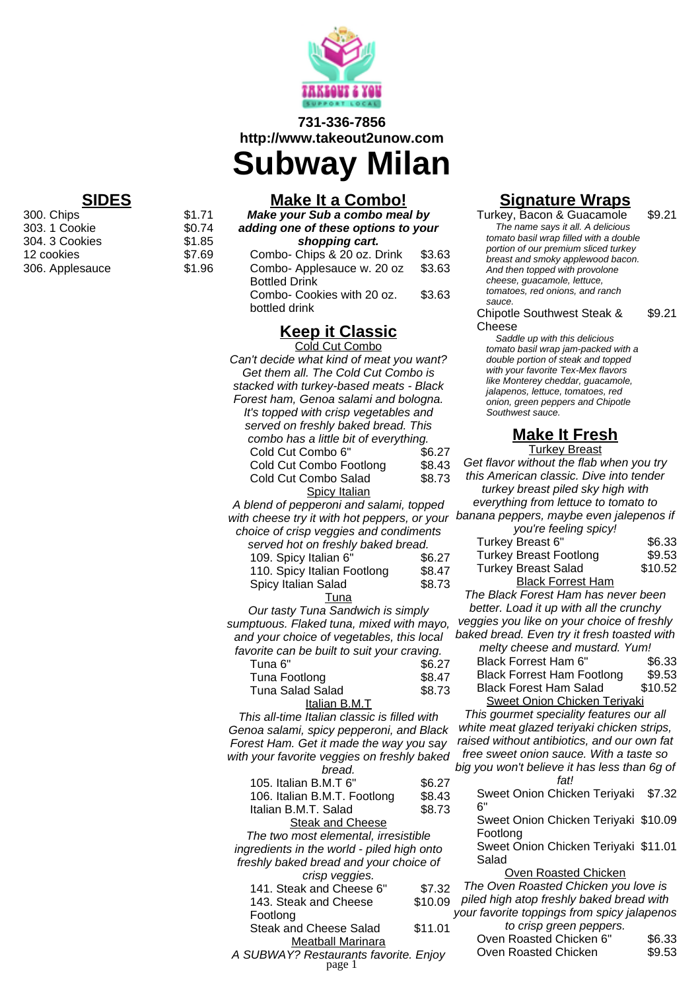

#### **731-336-7856 http://www.takeout2unow.com**

**Subway Milan**

**Make your Sub a combo meal by adding one of these options to your shopping cart.** Combo- Chins  $\&$  20 oz. Drink  $\&$  3.63

**Make It a Combo!**

| Combo- Applesauce w. 20 oz | \$3.63 |
|----------------------------|--------|
| <b>Bottled Drink</b>       |        |
| Combo- Cookies with 20 oz. | \$3.63 |
| bottled drink              |        |

# **Keep it Classic**

| <u>лсер II ставътс</u>                       |                  |
|----------------------------------------------|------------------|
| Cold Cut Combo                               |                  |
| Can't decide what kind of meat you want?     |                  |
| Get them all. The Cold Cut Combo is          |                  |
| stacked with turkey-based meats - Black      |                  |
| Forest ham, Genoa salami and bologna.        |                  |
| It's topped with crisp vegetables and        |                  |
| served on freshly baked bread. This          |                  |
| combo has a little bit of everything.        |                  |
| Cold Cut Combo 6"                            | \$6.27           |
| Cold Cut Combo Footlong                      | \$8.43           |
| Cold Cut Combo Salad                         | \$8.73           |
| <b>Spicy Italian</b>                         |                  |
| A blend of pepperoni and salami, topped      |                  |
| with cheese try it with hot peppers, or your | $\boldsymbol{l}$ |
| choice of crisp veggies and condiments       |                  |
|                                              |                  |
| served hot on freshly baked bread.           |                  |
| 109. Spicy Italian 6"                        | \$6.27           |
| 110. Spicy Italian Footlong                  | \$8.47           |
| Spicy Italian Salad                          | \$8.73           |
| Tuna                                         |                  |
| Our tasty Tuna Sandwich is simply            |                  |
| sumptuous. Flaked tuna, mixed with mayo,     |                  |
| and your choice of vegetables, this local    | I.               |
| favorite can be built to suit your craving.  |                  |
| Tuna <sub>6"</sub>                           | \$6.27           |
| Tuna Footlong                                | \$8.47           |
| <b>Tuna Salad Salad</b>                      | \$8.73           |
| Italian B.M.T                                |                  |
| This all-time Italian classic is filled with |                  |
| Genoa salami, spicy pepperoni, and Black     |                  |
| Forest Ham. Get it made the way you say      |                  |
| with your favorite veggies on freshly baked  |                  |
| bread.                                       | Ł                |
| 105. Italian B.M.T 6"                        | \$6.27           |
| 106. Italian B.M.T. Footlong                 | \$8.43           |
| Italian B.M.T. Salad                         | \$8.73           |
| <b>Steak and Cheese</b>                      |                  |
| The two most elemental, irresistible         |                  |
| ingredients in the world - piled high onto   |                  |
| freshly baked bread and your choice of       |                  |
| crisp veggies.                               |                  |
| 141. Steak and Cheese 6"                     | \$7.32           |
| 143. Steak and Cheese                        | \$10.09          |
| Footlong                                     |                  |
| <b>Steak and Cheese Salad</b>                | \$11.01          |
| <b>Meatball Marinara</b>                     |                  |
| A SUBWAY? Restaurants favorite. Enjoy        |                  |

page 1

# **Signature Wraps**

Turkey, Bacon & Guacamole \$9.21 The name says it all. A delicious tomato basil wrap filled with a double portion of our premium sliced turkey breast and smoky applewood bacon. And then topped with provolone cheese, guacamole, lettuce, tomatoes, red onions, and ranch sauce.

Chipotle Southwest Steak & Cheese \$9.21

Saddle up with this delicious tomato basil wrap jam-packed with a double portion of steak and topped with your favorite Tex-Mex flavors like Monterey cheddar, guacamole, jalapenos, lettuce, tomatoes, red onion, green peppers and Chipotle Southwest sauce.

### **Make It Fresh**

**Turkey Breast** Get flavor without the flab when you try this American classic. Dive into tender turkey breast piled sky high with everything from lettuce to tomato to banana peppers, maybe even jalepenos if you're feeling spicy! Turkey Breast 6" \$6.33 Turkey Breast Footlong \$9.53 Turkey Breast Salad \$10.52 Black Forrest Ham The Black Forest Ham has never been better. Load it up with all the crunchy veggies you like on your choice of freshly baked bread. Even try it fresh toasted with melty cheese and mustard. Yum! Black Forrest Ham 6" \$6.33 Black Forrest Ham Footlong \$9.53<br>Black Forest Ham Salad \$10.52 Black Forest Ham Salad Sweet Onion Chicken Teriyaki This gourmet speciality features our all white meat glazed teriyaki chicken strips, raised without antibiotics, and our own fat free sweet onion sauce. With a taste so big you won't believe it has less than 6g of fat! Sweet Onion Chicken Teriyaki \$7.32 6" Sweet Onion Chicken Teriyaki \$10.09 Footlong Sweet Onion Chicken Teriyaki \$11.01 Salad Oven Roasted Chicken The Oven Roasted Chicken you love is piled high atop freshly baked bread with your favorite toppings from spicy jalapenos to crisp green peppers.

Oven Roasted Chicken 6" \$6.33 Oven Roasted Chicken \$9.53

## **SIDES**

300. Chips **\$1.71**<br>303. 1 Cookie **\$0.74** 303. 1 Cookie  $$0.74$ <br>304. 3 Cookies  $$1.85$ 304. 3 Cookies \$1.85<br>12 cookies \$7.69 12 cookies \$7.69 306. Applesauce